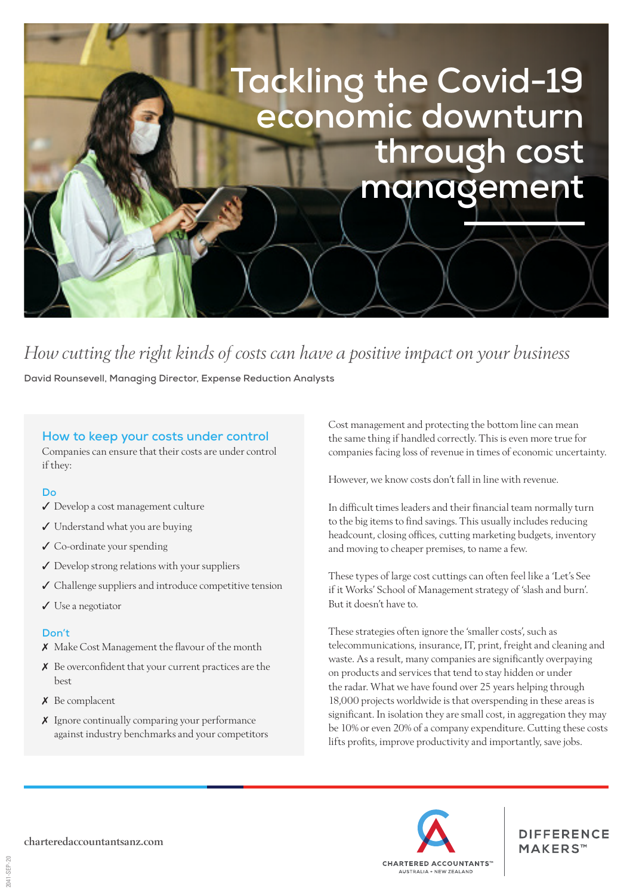# **Tackling the Covid-19 economic downturn through cost management**

# *How cutting the right kinds of costs can have a positive impact on your business*

**David Rounsevell, Managing Director, Expense Reduction Analysts**

### **How to keep your costs under control**

Companies can ensure that their costs are under control if they:

#### **Do**

- ✓ Develop a cost management culture
- ✓ Understand what you are buying
- ✓ Co-ordinate your spending
- ✓ Develop strong relations with your suppliers
- ✓ Challenge suppliers and introduce competitive tension
- ✓ Use a negotiator

#### **Don't**

- ✗ Make Cost Management the flavour of the month
- ✗ Be overconfident that your current practices are the best
- ✗ Be complacent
- ✗ Ignore continually comparing your performance against industry benchmarks and your competitors

Cost management and protecting the bottom line can mean the same thing if handled correctly. This is even more true for companies facing loss of revenue in times of economic uncertainty.

However, we know costs don't fall in line with revenue.

In difficult times leaders and their financial team normally turn to the big items to find savings. This usually includes reducing headcount, closing offices, cutting marketing budgets, inventory and moving to cheaper premises, to name a few.

These types of large cost cuttings can often feel like a 'Let's See if it Works' School of Management strategy of 'slash and burn'. But it doesn't have to.

These strategies often ignore the 'smaller costs', such as telecommunications, insurance, IT, print, freight and cleaning and waste. As a result, many companies are significantly overpaying on products and services that tend to stay hidden or under the radar. What we have found over 25 years helping through 18,000 projects worldwide is that overspending in these areas is significant. In isolation they are small cost, in aggregation they may be 10% or even 20% of a company expenditure. Cutting these costs lifts profits, improve productivity and importantly, save jobs.



**DIFFERENCE** MAKERS™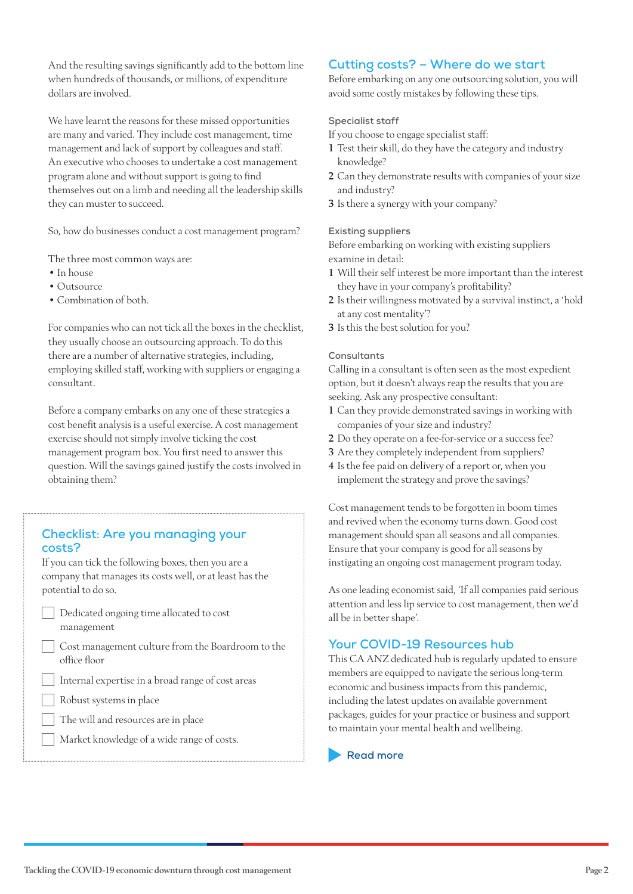And the resulting savings significantly add to the bottom line when hundreds of thousands, or millions, of expenditure dollars are involved.

We have learnt the reasons for these missed opportunities are many and varied. They include cost management, time management and lack of support by colleagues and staff. An executive who chooses to undertake a cost management program alone and without support is going to find themselves out on a limb and needing all the leadership skills they can muster to succeed.

So, how do businesses conduct a cost management program?

The three most common ways are:

- In house
- Outsource
- Combination of both.

For companies who can not tick all the boxes in the checklist, they usually choose an outsourcing approach. To do this there are a number of alternative strategies, including, employing skilled staff, working with suppliers or engaging a consultant.

Before a company embarks on any one of these strategies a cost benefit analysis is a useful exercise. A cost management exercise should not simply involve ticking the cost management program box. You first need to answer this question. Will the savings gained justify the costs involved in obtaining them?

# **Checklist: Are you managing your costs?**

If you can tick the following boxes, then you are a company that manages its costs well, or at least has the potential to do so.

- Dedicated ongoing time allocated to cost management
	- Cost management culture from the Boardroom to the office floor
- Internal expertise in a broad range of cost areas
- Robust systems in place
- The will and resources are in place
- Market knowledge of a wide range of costs.

# **Cutting costs? – Where do we start**

Before embarking on any one outsourcing solution, you will avoid some costly mistakes by following these tips.

#### **Specialist staff**

If you choose to engage specialist staff:

- 1 Test their skill, do they have the category and industry knowledge?
- 2 Can they demonstrate results with companies of your size and industry?
- 3 Is there a synergy with your company?

#### **Existing suppliers**

Before embarking on working with existing suppliers examine in detail:

- 1 Will their self interest be more important than the interest they have in your company's profitability?
- 2 Is their willingness motivated by a survival instinct, a 'hold at any cost mentality'?
- 3 Is this the best solution for you?

#### **Consultants**

Calling in a consultant is often seen as the most expedient option, but it doesn't always reap the results that you are seeking. Ask any prospective consultant:

- 1 Can they provide demonstrated savings in working with companies of your size and industry?
- 2 Do they operate on a fee-for-service or a success fee?
- 3 Are they completely independent from suppliers?
- 4 Is the fee paid on delivery of a report or, when you implement the strategy and prove the savings?

Cost management tends to be forgotten in boom times and revived when the economy turns down. Good cost management should span all seasons and all companies. Ensure that your company is good for all seasons by instigating an ongoing cost management program today.

As one leading economist said, 'If all companies paid serious attention and less lip service to cost management, then we'd all be in better shape'.

# **Your COVID-19 Resources hub**

This CA ANZ dedicated hub is regularly updated to ensure members are equipped to navigate the serious long-term economic and business impacts from this pandemic, including the latest updates on available government packages, guides for your practice or business and support to maintain your mental health and wellbeing.

**[Read more](https://www.charteredaccountantsanz.com/news-and-analysis/news/covid19-updates)**